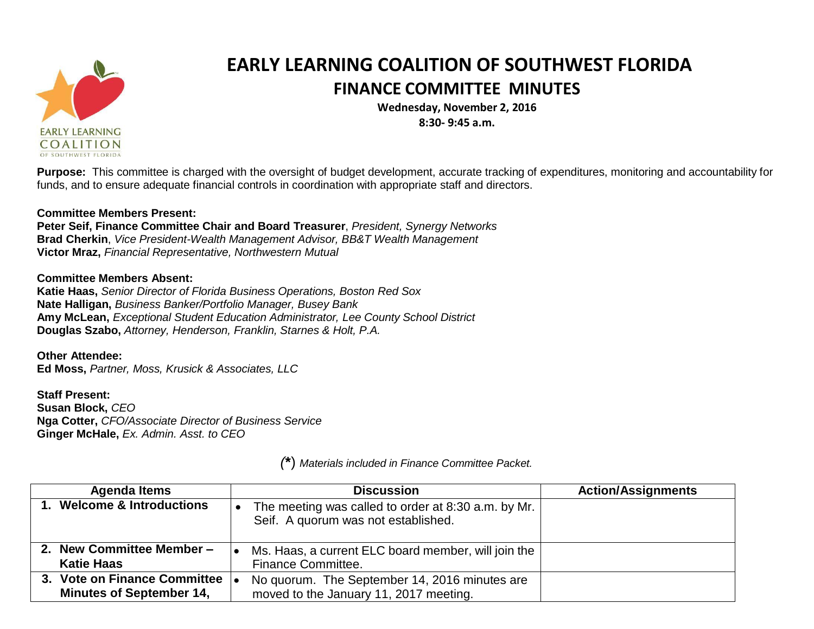

## **EARLY LEARNING COALITION OF SOUTHWEST FLORIDA FINANCE COMMITTEE MINUTES**

**Wednesday, November 2, 2016**

**8:30- 9:45 a.m.**

**Purpose:** This committee is charged with the oversight of budget development, accurate tracking of expenditures, monitoring and accountability for funds, and to ensure adequate financial controls in coordination with appropriate staff and directors.

## **Committee Members Present:**

**Peter Seif, Finance Committee Chair and Board Treasurer**, *President, Synergy Networks* **Brad Cherkin**, *Vice President-Wealth Management Advisor, BB&T Wealth Management* **Victor Mraz,** *Financial Representative, Northwestern Mutual*

## **Committee Members Absent:**

**Katie Haas,** *Senior Director of Florida Business Operations, Boston Red Sox* **Nate Halligan,** *Business Banker/Portfolio Manager, Busey Bank* **Amy McLean,** *Exceptional Student Education Administrator, Lee County School District* **Douglas Szabo,** *Attorney, Henderson, Franklin, Starnes & Holt, P.A.*

**Other Attendee: Ed Moss,** *Partner, Moss, Krusick & Associates, LLC*

**Staff Present: Susan Block,** *CEO* **Nga Cotter,** *CFO/Associate Director of Business Service* **Ginger McHale,** *Ex. Admin. Asst. to CEO*

**Agenda Items Discussion Action/Assignments 1. Welcome & Introductions**  $\bullet$  The meeting was called to order at 8:30 a.m. by Mr. Seif. A quorum was not established. **2. New Committee Member – Katie Haas** Ms. Haas, a current ELC board member, will join the Finance Committee. **3. Vote on Finance Committee Minutes of September 14,** • No quorum. The September 14, 2016 minutes are moved to the January 11, 2017 meeting.

*(***\***) *Materials included in Finance Committee Packet.*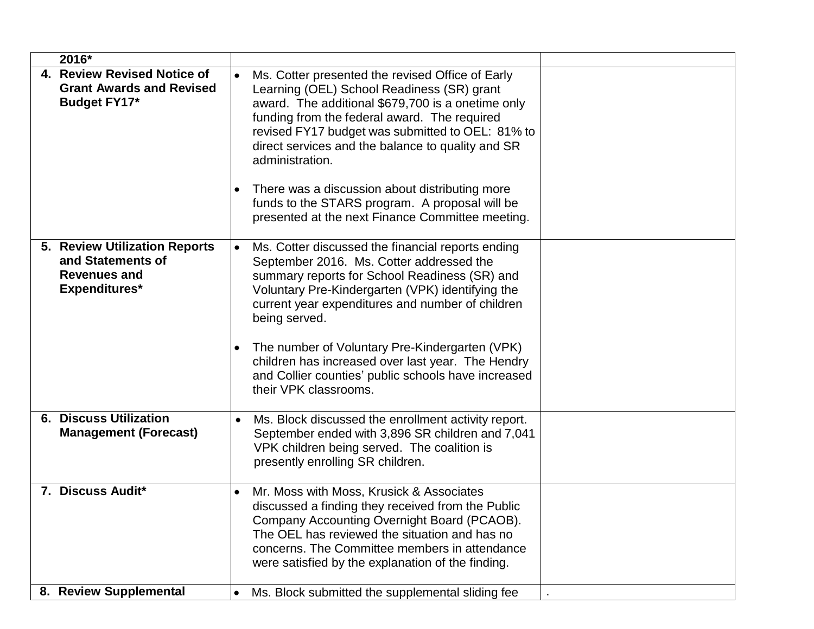| 2016*                                                                                      |                                                                                                                                                                                                                                                                                                                                                                                                                                                                                          |  |
|--------------------------------------------------------------------------------------------|------------------------------------------------------------------------------------------------------------------------------------------------------------------------------------------------------------------------------------------------------------------------------------------------------------------------------------------------------------------------------------------------------------------------------------------------------------------------------------------|--|
| 4. Review Revised Notice of<br><b>Grant Awards and Revised</b><br>Budget FY17*             | Ms. Cotter presented the revised Office of Early<br>Learning (OEL) School Readiness (SR) grant<br>award. The additional \$679,700 is a onetime only<br>funding from the federal award. The required<br>revised FY17 budget was submitted to OEL: 81% to<br>direct services and the balance to quality and SR<br>administration.<br>There was a discussion about distributing more<br>funds to the STARS program. A proposal will be<br>presented at the next Finance Committee meeting.  |  |
| 5. Review Utilization Reports<br>and Statements of<br><b>Revenues and</b><br>Expenditures* | Ms. Cotter discussed the financial reports ending<br>$\bullet$<br>September 2016. Ms. Cotter addressed the<br>summary reports for School Readiness (SR) and<br>Voluntary Pre-Kindergarten (VPK) identifying the<br>current year expenditures and number of children<br>being served.<br>The number of Voluntary Pre-Kindergarten (VPK)<br>$\bullet$<br>children has increased over last year. The Hendry<br>and Collier counties' public schools have increased<br>their VPK classrooms. |  |
| <b>6. Discuss Utilization</b><br><b>Management (Forecast)</b>                              | Ms. Block discussed the enrollment activity report.<br>$\bullet$<br>September ended with 3,896 SR children and 7,041<br>VPK children being served. The coalition is<br>presently enrolling SR children.                                                                                                                                                                                                                                                                                  |  |
| 7. Discuss Audit*                                                                          | Mr. Moss with Moss, Krusick & Associates<br>discussed a finding they received from the Public<br>Company Accounting Overnight Board (PCAOB).<br>The OEL has reviewed the situation and has no<br>concerns. The Committee members in attendance<br>were satisfied by the explanation of the finding.                                                                                                                                                                                      |  |
| 8. Review Supplemental                                                                     | Ms. Block submitted the supplemental sliding fee<br>$\bullet$                                                                                                                                                                                                                                                                                                                                                                                                                            |  |